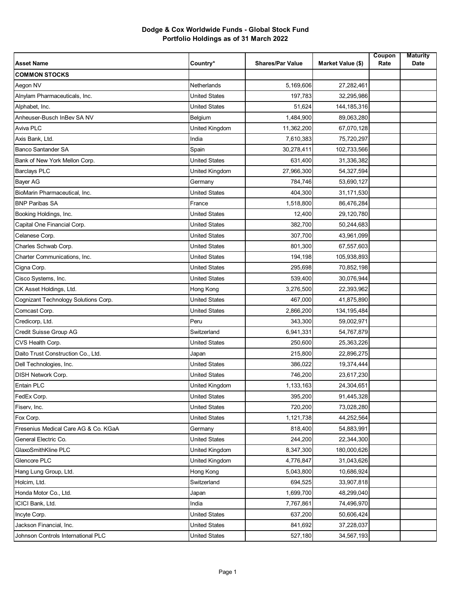| <b>Asset Name</b>                    | Country*             | <b>Shares/Par Value</b> | Market Value (\$) | Coupon<br>Rate | <b>Maturity</b><br>Date |
|--------------------------------------|----------------------|-------------------------|-------------------|----------------|-------------------------|
| <b>COMMON STOCKS</b>                 |                      |                         |                   |                |                         |
| Aegon NV                             | <b>Netherlands</b>   | 5,169,606               | 27,282,461        |                |                         |
| Alnylam Pharmaceuticals, Inc.        | <b>United States</b> | 197,783                 | 32,295,986        |                |                         |
| Alphabet, Inc.                       | <b>United States</b> | 51,624                  | 144, 185, 316     |                |                         |
| Anheuser-Busch InBev SA NV           | Belgium              | 1,484,900               | 89,063,280        |                |                         |
| <b>Aviva PLC</b>                     | United Kingdom       | 11,362,200              | 67,070,128        |                |                         |
| Axis Bank, Ltd.                      | India                | 7,610,383               | 75,720,297        |                |                         |
| <b>Banco Santander SA</b>            | Spain                | 30,278,411              | 102,733,566       |                |                         |
| Bank of New York Mellon Corp.        | <b>United States</b> | 631,400                 | 31,336,382        |                |                         |
| <b>Barclays PLC</b>                  | United Kingdom       | 27,966,300              | 54,327,594        |                |                         |
| <b>Bayer AG</b>                      | Germany              | 784,746                 | 53,690,127        |                |                         |
| BioMarin Pharmaceutical, Inc.        | <b>United States</b> | 404,300                 | 31,171,530        |                |                         |
| <b>BNP Paribas SA</b>                | France               | 1,518,800               | 86,476,284        |                |                         |
| Booking Holdings, Inc.               | <b>United States</b> | 12,400                  | 29,120,780        |                |                         |
| Capital One Financial Corp.          | <b>United States</b> | 382,700                 | 50,244,683        |                |                         |
| Celanese Corp.                       | <b>United States</b> | 307,700                 | 43,961,099        |                |                         |
| Charles Schwab Corp.                 | <b>United States</b> | 801,300                 | 67,557,603        |                |                         |
| Charter Communications, Inc.         | <b>United States</b> | 194,198                 | 105,938,893       |                |                         |
| Cigna Corp.                          | <b>United States</b> | 295,698                 | 70,852,198        |                |                         |
| Cisco Systems, Inc.                  | <b>United States</b> | 539,400                 | 30,076,944        |                |                         |
| CK Asset Holdings, Ltd.              | Hong Kong            | 3,276,500               | 22,393,962        |                |                         |
| Cognizant Technology Solutions Corp. | <b>United States</b> | 467,000                 | 41,875,890        |                |                         |
| Comcast Corp.                        | <b>United States</b> | 2,866,200               | 134, 195, 484     |                |                         |
| Credicorp, Ltd.                      | Peru                 | 343,300                 | 59,002,971        |                |                         |
| Credit Suisse Group AG               | Switzerland          | 6,941,331               | 54,767,879        |                |                         |
| CVS Health Corp.                     | <b>United States</b> | 250,600                 | 25,363,226        |                |                         |
| Daito Trust Construction Co., Ltd.   | Japan                | 215,800                 | 22,896,275        |                |                         |
| Dell Technologies, Inc.              | <b>United States</b> | 386,022                 | 19,374,444        |                |                         |
| DISH Network Corp.                   | <b>United States</b> | 746,200                 | 23,617,230        |                |                         |
| Entain PLC                           | United Kingdom       | 1,133,163               | 24,304,651        |                |                         |
| FedEx Corp.                          | United States        | 395,200                 | 91,445,328        |                |                         |
| Fiserv, Inc.                         | <b>United States</b> | 720,200                 | 73,028,280        |                |                         |
| Fox Corp.                            | United States        | 1,121,738               | 44,252,564        |                |                         |
| Fresenius Medical Care AG & Co. KGaA | Germany              | 818,400                 | 54,883,991        |                |                         |
| General Electric Co.                 | <b>United States</b> | 244,200                 | 22,344,300        |                |                         |
| GlaxoSmithKline PLC                  | United Kingdom       | 8,347,300               | 180,000,626       |                |                         |
| Glencore PLC                         | United Kingdom       | 4,776,847               | 31,043,626        |                |                         |
| Hang Lung Group, Ltd.                | Hong Kong            | 5,043,800               | 10,686,924        |                |                         |
| Holcim, Ltd.                         | Switzerland          | 694,525                 | 33,907,818        |                |                         |
| Honda Motor Co., Ltd.                | Japan                | 1,699,700               | 48,299,040        |                |                         |
| ICICI Bank, Ltd.                     | India                | 7,767,861               | 74,496,970        |                |                         |
| Incyte Corp.                         | <b>United States</b> | 637,200                 | 50,606,424        |                |                         |
| Jackson Financial, Inc.              | United States        | 841,692                 | 37,228,037        |                |                         |
| Johnson Controls International PLC   | <b>United States</b> | 527,180                 | 34,567,193        |                |                         |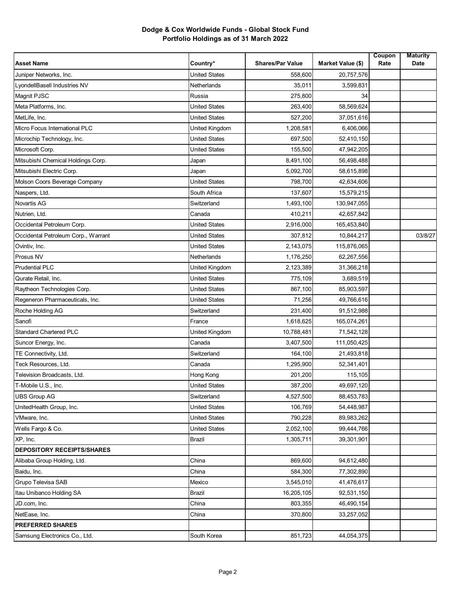| <b>Asset Name</b>                   | Country*             | <b>Shares/Par Value</b> | Market Value (\$) | Coupon<br>Rate | <b>Maturity</b><br>Date |
|-------------------------------------|----------------------|-------------------------|-------------------|----------------|-------------------------|
| Juniper Networks, Inc.              | <b>United States</b> | 558,600                 | 20,757,576        |                |                         |
| LyondellBasell Industries NV        | Netherlands          | 35,011                  | 3,599,831         |                |                         |
| Magnit PJSC                         | Russia               | 275,800                 | 34                |                |                         |
| Meta Platforms, Inc.                | <b>United States</b> | 263,400                 | 58,569,624        |                |                         |
| MetLife, Inc.                       | <b>United States</b> | 527,200                 | 37,051,616        |                |                         |
| Micro Focus International PLC       | United Kingdom       | 1,208,581               | 6,406,066         |                |                         |
| Microchip Technology, Inc.          | <b>United States</b> | 697,500                 | 52,410,150        |                |                         |
| Microsoft Corp.                     | <b>United States</b> | 155,500                 | 47,942,205        |                |                         |
| Mitsubishi Chemical Holdings Corp.  | Japan                | 8,491,100               | 56,498,488        |                |                         |
| Mitsubishi Electric Corp.           | Japan                | 5,092,700               | 58,615,898        |                |                         |
| Molson Coors Beverage Company       | <b>United States</b> | 798,700                 | 42,634,606        |                |                         |
| Naspers, Ltd.                       | South Africa         | 137,607                 | 15,579,215        |                |                         |
| <b>Novartis AG</b>                  | Switzerland          | 1,493,100               | 130,947,055       |                |                         |
| Nutrien, Ltd.                       | Canada               | 410,211                 | 42,657,842        |                |                         |
| Occidental Petroleum Corp.          | <b>United States</b> | 2,916,000               | 165,453,840       |                |                         |
| Occidental Petroleum Corp., Warrant | <b>United States</b> | 307,812                 | 10,844,217        |                | 03/8/27                 |
| Ovintiv, Inc.                       | <b>United States</b> | 2,143,075               | 115,876,065       |                |                         |
| Prosus NV                           | Netherlands          | 1,176,250               | 62,267,556        |                |                         |
| <b>Prudential PLC</b>               | United Kingdom       | 2,123,389               | 31,366,218        |                |                         |
| Qurate Retail, Inc.                 | <b>United States</b> | 775,109                 | 3,689,519         |                |                         |
| Raytheon Technologies Corp.         | <b>United States</b> | 867,100                 | 85,903,597        |                |                         |
| Regeneron Pharmaceuticals, Inc.     | <b>United States</b> | 71,256                  | 49,766,616        |                |                         |
| Roche Holding AG                    | Switzerland          | 231,400                 | 91,512,988        |                |                         |
| Sanofi                              | France               | 1,618,625               | 165,074,261       |                |                         |
| <b>Standard Chartered PLC</b>       | United Kingdom       | 10,788,481              | 71,542,128        |                |                         |
| Suncor Energy, Inc.                 | Canada               | 3,407,500               | 111,050,425       |                |                         |
| TE Connectivity, Ltd.               | Switzerland          | 164,100                 | 21,493,818        |                |                         |
| Teck Resources, Ltd.                | Canada               | 1,295,900               | 52,341,401        |                |                         |
| Television Broadcasts, Ltd.         | Hong Kong            | 201,200                 | 115,105           |                |                         |
| T-Mobile U.S., Inc.                 | <b>United States</b> | 387,200                 | 49,697,120        |                |                         |
| <b>UBS Group AG</b>                 | Switzerland          | 4,527,500               | 88,453,783        |                |                         |
| UnitedHealth Group, Inc.            | <b>United States</b> | 106,769                 | 54,448,987        |                |                         |
| VMware, Inc.                        | <b>United States</b> | 790,228                 | 89,983,262        |                |                         |
| Wells Fargo & Co.                   | United States        | 2,052,100               | 99,444,766        |                |                         |
| XP, Inc.                            | <b>Brazil</b>        | 1,305,711               | 39,301,901        |                |                         |
| <b>DEPOSITORY RECEIPTS/SHARES</b>   |                      |                         |                   |                |                         |
| Alibaba Group Holding, Ltd.         | China                | 869,600                 | 94,612,480        |                |                         |
| Baidu, Inc.                         | China                | 584,300                 | 77,302,890        |                |                         |
| Grupo Televisa SAB                  | Mexico               | 3,545,010               | 41,476,617        |                |                         |
| Itau Unibanco Holding SA            | Brazil               | 16,205,105              | 92,531,150        |                |                         |
| JD.com, Inc.                        | China                | 803,355                 | 46,490,154        |                |                         |
| NetEase, Inc.                       | China                | 370,800                 | 33,257,052        |                |                         |
| <b>PREFERRED SHARES</b>             |                      |                         |                   |                |                         |
| Samsung Electronics Co., Ltd.       | South Korea          | 851,723                 | 44,054,375        |                |                         |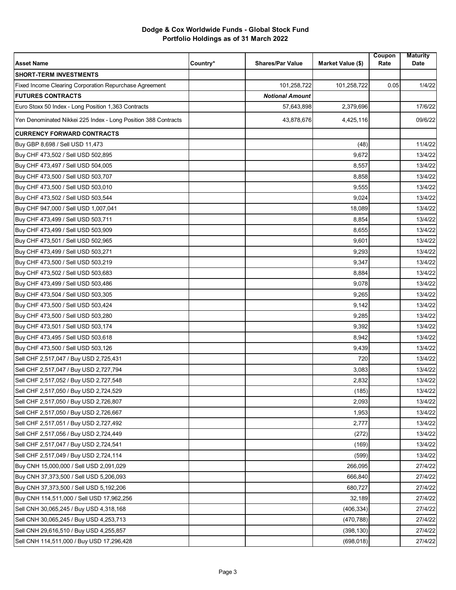| 101,258,722<br>101,258,722<br>0.05<br>1/4/22<br><b>Notional Amount</b><br>17/6/22<br>57,643,898<br>2,379,696<br>09/6/22<br>43,878,676<br>4,425,116<br>11/4/22<br>(48)<br>9,672<br>13/4/22<br>8,557<br>13/4/22<br>8,858<br>13/4/22<br>9,555<br>13/4/22<br>9,024<br>13/4/22<br>18,089<br>13/4/22<br>8,854<br>13/4/22<br>8,655<br>13/4/22<br>13/4/22<br>9,601<br>9,293<br>13/4/22<br>9,347<br>13/4/22<br>8,884<br>13/4/22<br>9,078<br>13/4/22<br>9,265<br>13/4/22<br>13/4/22<br>9,142<br>9,285<br>13/4/22<br>9,392<br>13/4/22<br>8,942<br>13/4/22<br>13/4/22<br>9,439<br>720<br>13/4/22<br>3,083<br>13/4/22<br>2,832<br>13/4/22<br>(185)<br>13/4/22<br>2,093<br>13/4/22<br>1,953<br>13/4/22<br>2,777<br>13/4/22<br>13/4/22<br>(272)<br>(169)<br>13/4/22<br>13/4/22<br>(599)<br>266,095<br>27/4/22<br>666,840<br>27/4/22<br>680,727<br>27/4/22<br>32,189<br>27/4/22<br>27/4/22<br>(406, 334)<br>(470, 788)<br>27/4/22<br>27/4/22<br>(398, 130) | <b>Asset Name</b>                                              | Country* | <b>Shares/Par Value</b> | <b>Market Value (\$)</b> | Coupon<br>Rate | <b>Maturity</b><br>Date |
|--------------------------------------------------------------------------------------------------------------------------------------------------------------------------------------------------------------------------------------------------------------------------------------------------------------------------------------------------------------------------------------------------------------------------------------------------------------------------------------------------------------------------------------------------------------------------------------------------------------------------------------------------------------------------------------------------------------------------------------------------------------------------------------------------------------------------------------------------------------------------------------------------------------------------------------------|----------------------------------------------------------------|----------|-------------------------|--------------------------|----------------|-------------------------|
|                                                                                                                                                                                                                                                                                                                                                                                                                                                                                                                                                                                                                                                                                                                                                                                                                                                                                                                                            | <b>SHORT-TERM INVESTMENTS</b>                                  |          |                         |                          |                |                         |
|                                                                                                                                                                                                                                                                                                                                                                                                                                                                                                                                                                                                                                                                                                                                                                                                                                                                                                                                            | Fixed Income Clearing Corporation Repurchase Agreement         |          |                         |                          |                |                         |
|                                                                                                                                                                                                                                                                                                                                                                                                                                                                                                                                                                                                                                                                                                                                                                                                                                                                                                                                            | <b>FUTURES CONTRACTS</b>                                       |          |                         |                          |                |                         |
|                                                                                                                                                                                                                                                                                                                                                                                                                                                                                                                                                                                                                                                                                                                                                                                                                                                                                                                                            | Euro Stoxx 50 Index - Long Position 1,363 Contracts            |          |                         |                          |                |                         |
|                                                                                                                                                                                                                                                                                                                                                                                                                                                                                                                                                                                                                                                                                                                                                                                                                                                                                                                                            | Yen Denominated Nikkei 225 Index - Long Position 388 Contracts |          |                         |                          |                |                         |
|                                                                                                                                                                                                                                                                                                                                                                                                                                                                                                                                                                                                                                                                                                                                                                                                                                                                                                                                            | <b>CURRENCY FORWARD CONTRACTS</b>                              |          |                         |                          |                |                         |
|                                                                                                                                                                                                                                                                                                                                                                                                                                                                                                                                                                                                                                                                                                                                                                                                                                                                                                                                            | Buy GBP 8,698 / Sell USD 11,473                                |          |                         |                          |                |                         |
|                                                                                                                                                                                                                                                                                                                                                                                                                                                                                                                                                                                                                                                                                                                                                                                                                                                                                                                                            | Buy CHF 473,502 / Sell USD 502,895                             |          |                         |                          |                |                         |
|                                                                                                                                                                                                                                                                                                                                                                                                                                                                                                                                                                                                                                                                                                                                                                                                                                                                                                                                            | Buy CHF 473,497 / Sell USD 504,005                             |          |                         |                          |                |                         |
|                                                                                                                                                                                                                                                                                                                                                                                                                                                                                                                                                                                                                                                                                                                                                                                                                                                                                                                                            | Buy CHF 473,500 / Sell USD 503,707                             |          |                         |                          |                |                         |
|                                                                                                                                                                                                                                                                                                                                                                                                                                                                                                                                                                                                                                                                                                                                                                                                                                                                                                                                            | Buy CHF 473,500 / Sell USD 503,010                             |          |                         |                          |                |                         |
|                                                                                                                                                                                                                                                                                                                                                                                                                                                                                                                                                                                                                                                                                                                                                                                                                                                                                                                                            | Buy CHF 473,502 / Sell USD 503,544                             |          |                         |                          |                |                         |
|                                                                                                                                                                                                                                                                                                                                                                                                                                                                                                                                                                                                                                                                                                                                                                                                                                                                                                                                            | Buy CHF 947,000 / Sell USD 1,007,041                           |          |                         |                          |                |                         |
|                                                                                                                                                                                                                                                                                                                                                                                                                                                                                                                                                                                                                                                                                                                                                                                                                                                                                                                                            | Buy CHF 473,499 / Sell USD 503,711                             |          |                         |                          |                |                         |
|                                                                                                                                                                                                                                                                                                                                                                                                                                                                                                                                                                                                                                                                                                                                                                                                                                                                                                                                            | Buy CHF 473,499 / Sell USD 503,909                             |          |                         |                          |                |                         |
|                                                                                                                                                                                                                                                                                                                                                                                                                                                                                                                                                                                                                                                                                                                                                                                                                                                                                                                                            | Buy CHF 473,501 / Sell USD 502,965                             |          |                         |                          |                |                         |
|                                                                                                                                                                                                                                                                                                                                                                                                                                                                                                                                                                                                                                                                                                                                                                                                                                                                                                                                            | Buy CHF 473,499 / Sell USD 503,271                             |          |                         |                          |                |                         |
|                                                                                                                                                                                                                                                                                                                                                                                                                                                                                                                                                                                                                                                                                                                                                                                                                                                                                                                                            | Buy CHF 473,500 / Sell USD 503,219                             |          |                         |                          |                |                         |
|                                                                                                                                                                                                                                                                                                                                                                                                                                                                                                                                                                                                                                                                                                                                                                                                                                                                                                                                            | Buy CHF 473,502 / Sell USD 503,683                             |          |                         |                          |                |                         |
|                                                                                                                                                                                                                                                                                                                                                                                                                                                                                                                                                                                                                                                                                                                                                                                                                                                                                                                                            | Buy CHF 473,499 / Sell USD 503,486                             |          |                         |                          |                |                         |
|                                                                                                                                                                                                                                                                                                                                                                                                                                                                                                                                                                                                                                                                                                                                                                                                                                                                                                                                            | Buy CHF 473,504 / Sell USD 503,305                             |          |                         |                          |                |                         |
|                                                                                                                                                                                                                                                                                                                                                                                                                                                                                                                                                                                                                                                                                                                                                                                                                                                                                                                                            | Buy CHF 473,500 / Sell USD 503,424                             |          |                         |                          |                |                         |
|                                                                                                                                                                                                                                                                                                                                                                                                                                                                                                                                                                                                                                                                                                                                                                                                                                                                                                                                            | Buy CHF 473,500 / Sell USD 503,280                             |          |                         |                          |                |                         |
|                                                                                                                                                                                                                                                                                                                                                                                                                                                                                                                                                                                                                                                                                                                                                                                                                                                                                                                                            | Buy CHF 473,501 / Sell USD 503,174                             |          |                         |                          |                |                         |
|                                                                                                                                                                                                                                                                                                                                                                                                                                                                                                                                                                                                                                                                                                                                                                                                                                                                                                                                            | Buy CHF 473,495 / Sell USD 503,618                             |          |                         |                          |                |                         |
|                                                                                                                                                                                                                                                                                                                                                                                                                                                                                                                                                                                                                                                                                                                                                                                                                                                                                                                                            | Buy CHF 473,500 / Sell USD 503,126                             |          |                         |                          |                |                         |
|                                                                                                                                                                                                                                                                                                                                                                                                                                                                                                                                                                                                                                                                                                                                                                                                                                                                                                                                            | Sell CHF 2,517,047 / Buy USD 2,725,431                         |          |                         |                          |                |                         |
|                                                                                                                                                                                                                                                                                                                                                                                                                                                                                                                                                                                                                                                                                                                                                                                                                                                                                                                                            | Sell CHF 2,517,047 / Buy USD 2,727,794                         |          |                         |                          |                |                         |
|                                                                                                                                                                                                                                                                                                                                                                                                                                                                                                                                                                                                                                                                                                                                                                                                                                                                                                                                            | Sell CHF 2,517,052 / Buy USD 2,727,548                         |          |                         |                          |                |                         |
|                                                                                                                                                                                                                                                                                                                                                                                                                                                                                                                                                                                                                                                                                                                                                                                                                                                                                                                                            | Sell CHF 2,517,050 / Buy USD 2,724,529                         |          |                         |                          |                |                         |
|                                                                                                                                                                                                                                                                                                                                                                                                                                                                                                                                                                                                                                                                                                                                                                                                                                                                                                                                            | Sell CHF 2,517,050 / Buy USD 2,726,807                         |          |                         |                          |                |                         |
|                                                                                                                                                                                                                                                                                                                                                                                                                                                                                                                                                                                                                                                                                                                                                                                                                                                                                                                                            | Sell CHF 2,517,050 / Buy USD 2,726,667                         |          |                         |                          |                |                         |
|                                                                                                                                                                                                                                                                                                                                                                                                                                                                                                                                                                                                                                                                                                                                                                                                                                                                                                                                            | Sell CHF 2,517,051 / Buy USD 2,727,492                         |          |                         |                          |                |                         |
|                                                                                                                                                                                                                                                                                                                                                                                                                                                                                                                                                                                                                                                                                                                                                                                                                                                                                                                                            | Sell CHF 2,517,056 / Buy USD 2,724,449                         |          |                         |                          |                |                         |
|                                                                                                                                                                                                                                                                                                                                                                                                                                                                                                                                                                                                                                                                                                                                                                                                                                                                                                                                            | Sell CHF 2,517,047 / Buy USD 2,724,541                         |          |                         |                          |                |                         |
|                                                                                                                                                                                                                                                                                                                                                                                                                                                                                                                                                                                                                                                                                                                                                                                                                                                                                                                                            | Sell CHF 2,517,049 / Buy USD 2,724,114                         |          |                         |                          |                |                         |
|                                                                                                                                                                                                                                                                                                                                                                                                                                                                                                                                                                                                                                                                                                                                                                                                                                                                                                                                            | Buy CNH 15,000,000 / Sell USD 2,091,029                        |          |                         |                          |                |                         |
|                                                                                                                                                                                                                                                                                                                                                                                                                                                                                                                                                                                                                                                                                                                                                                                                                                                                                                                                            | Buy CNH 37,373,500 / Sell USD 5,206,093                        |          |                         |                          |                |                         |
|                                                                                                                                                                                                                                                                                                                                                                                                                                                                                                                                                                                                                                                                                                                                                                                                                                                                                                                                            | Buy CNH 37,373,500 / Sell USD 5,192,206                        |          |                         |                          |                |                         |
|                                                                                                                                                                                                                                                                                                                                                                                                                                                                                                                                                                                                                                                                                                                                                                                                                                                                                                                                            | Buy CNH 114,511,000 / Sell USD 17,962,256                      |          |                         |                          |                |                         |
|                                                                                                                                                                                                                                                                                                                                                                                                                                                                                                                                                                                                                                                                                                                                                                                                                                                                                                                                            | Sell CNH 30,065,245 / Buy USD 4,318,168                        |          |                         |                          |                |                         |
|                                                                                                                                                                                                                                                                                                                                                                                                                                                                                                                                                                                                                                                                                                                                                                                                                                                                                                                                            | Sell CNH 30,065,245 / Buy USD 4,253,713                        |          |                         |                          |                |                         |
|                                                                                                                                                                                                                                                                                                                                                                                                                                                                                                                                                                                                                                                                                                                                                                                                                                                                                                                                            | Sell CNH 29,616,510 / Buy USD 4,255,857                        |          |                         |                          |                |                         |
| 27/4/22                                                                                                                                                                                                                                                                                                                                                                                                                                                                                                                                                                                                                                                                                                                                                                                                                                                                                                                                    | Sell CNH 114,511,000 / Buy USD 17,296,428                      |          |                         | (698, 018)               |                |                         |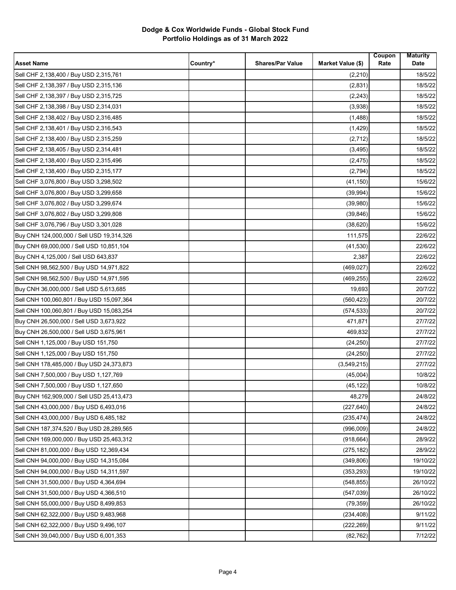| <b>Asset Name</b>                         | Country* | <b>Shares/Par Value</b> | Market Value (\$) | Coupon<br>Rate | <b>Maturity</b><br>Date |
|-------------------------------------------|----------|-------------------------|-------------------|----------------|-------------------------|
| Sell CHF 2,138,400 / Buy USD 2,315,761    |          |                         | (2,210)           |                | 18/5/22                 |
| Sell CHF 2,138,397 / Buy USD 2,315,136    |          |                         | (2,831)           |                | 18/5/22                 |
| Sell CHF 2,138,397 / Buy USD 2,315,725    |          |                         | (2, 243)          |                | 18/5/22                 |
| Sell CHF 2,138,398 / Buy USD 2,314,031    |          |                         | (3,938)           |                | 18/5/22                 |
| Sell CHF 2,138,402 / Buy USD 2,316,485    |          |                         | (1,488)           |                | 18/5/22                 |
| Sell CHF 2,138,401 / Buy USD 2,316,543    |          |                         | (1, 429)          |                | 18/5/22                 |
| Sell CHF 2,138,400 / Buy USD 2,315,259    |          |                         | (2,712)           |                | 18/5/22                 |
| Sell CHF 2,138,405 / Buy USD 2,314,481    |          |                         | (3, 495)          |                | 18/5/22                 |
| Sell CHF 2,138,400 / Buy USD 2,315,496    |          |                         | (2, 475)          |                | 18/5/22                 |
| Sell CHF 2,138,400 / Buy USD 2,315,177    |          |                         | (2,794)           |                | 18/5/22                 |
| Sell CHF 3,076,800 / Buy USD 3,298,502    |          |                         | (41, 150)         |                | 15/6/22                 |
| Sell CHF 3,076,800 / Buy USD 3,299,658    |          |                         | (39, 994)         |                | 15/6/22                 |
| Sell CHF 3,076,802 / Buy USD 3,299,674    |          |                         | (39,980)          |                | 15/6/22                 |
| Sell CHF 3,076,802 / Buy USD 3,299,808    |          |                         | (39, 846)         |                | 15/6/22                 |
| Sell CHF 3,076,796 / Buy USD 3,301,028    |          |                         | (38, 620)         |                | 15/6/22                 |
| Buy CNH 124,000,000 / Sell USD 19,314,326 |          |                         | 111,575           |                | 22/6/22                 |
| Buy CNH 69,000,000 / Sell USD 10,851,104  |          |                         | (41, 530)         |                | 22/6/22                 |
| Buy CNH 4,125,000 / Sell USD 643,837      |          |                         | 2,387             |                | 22/6/22                 |
| Sell CNH 98,562,500 / Buy USD 14,971,822  |          |                         | (469, 027)        |                | 22/6/22                 |
| Sell CNH 98,562,500 / Buy USD 14,971,595  |          |                         | (469, 255)        |                | 22/6/22                 |
| Buy CNH 36,000,000 / Sell USD 5,613,685   |          |                         | 19,693            |                | 20/7/22                 |
| Sell CNH 100,060,801 / Buy USD 15,097,364 |          |                         | (560, 423)        |                | 20/7/22                 |
| Sell CNH 100,060,801 / Buy USD 15,083,254 |          |                         | (574, 533)        |                | 20/7/22                 |
| Buy CNH 26,500,000 / Sell USD 3,673,922   |          |                         | 471,871           |                | 27/7/22                 |
| Buy CNH 26,500,000 / Sell USD 3,675,961   |          |                         | 469,832           |                | 27/7/22                 |
| Sell CNH 1,125,000 / Buy USD 151,750      |          |                         | (24, 250)         |                | 27/7/22                 |
| Sell CNH 1,125,000 / Buy USD 151,750      |          |                         | (24, 250)         |                | 27/7/22                 |
| Sell CNH 178,485,000 / Buy USD 24,373,873 |          |                         | (3,549,215)       |                | 27/7/22                 |
| Sell CNH 7,500,000 / Buy USD 1,127,769    |          |                         | (45,004)          |                | 10/8/22                 |
| Sell CNH 7,500,000 / Buy USD 1,127,650    |          |                         | (45, 122)         |                | 10/8/22                 |
| Buy CNH 162,909,000 / Sell USD 25,413,473 |          |                         | 48,279            |                | 24/8/22                 |
| Sell CNH 43,000,000 / Buy USD 6,493,016   |          |                         | (227, 640)        |                | 24/8/22                 |
| Sell CNH 43,000,000 / Buy USD 6,485,182   |          |                         | (235, 474)        |                | 24/8/22                 |
| Sell CNH 187,374,520 / Buy USD 28,289,565 |          |                         | (996,009)         |                | 24/8/22                 |
| Sell CNH 169,000,000 / Buy USD 25,463,312 |          |                         | (918, 664)        |                | 28/9/22                 |
| Sell CNH 81,000,000 / Buy USD 12,369,434  |          |                         | (275, 182)        |                | 28/9/22                 |
| Sell CNH 94,000,000 / Buy USD 14,315,084  |          |                         | (349, 806)        |                | 19/10/22                |
| Sell CNH 94,000,000 / Buy USD 14,311,597  |          |                         | (353, 293)        |                | 19/10/22                |
| Sell CNH 31,500,000 / Buy USD 4,364,694   |          |                         | (548, 855)        |                | 26/10/22                |
| Sell CNH 31,500,000 / Buy USD 4,366,510   |          |                         | (547, 039)        |                | 26/10/22                |
| Sell CNH 55,000,000 / Buy USD 8,499,853   |          |                         | (79, 359)         |                | 26/10/22                |
| Sell CNH 62,322,000 / Buy USD 9,483,968   |          |                         | (234, 408)        |                | 9/11/22                 |
| Sell CNH 62,322,000 / Buy USD 9,496,107   |          |                         | (222, 269)        |                | 9/11/22                 |
| Sell CNH 39,040,000 / Buy USD 6,001,353   |          |                         | (82, 762)         |                | 7/12/22                 |
|                                           |          |                         |                   |                |                         |